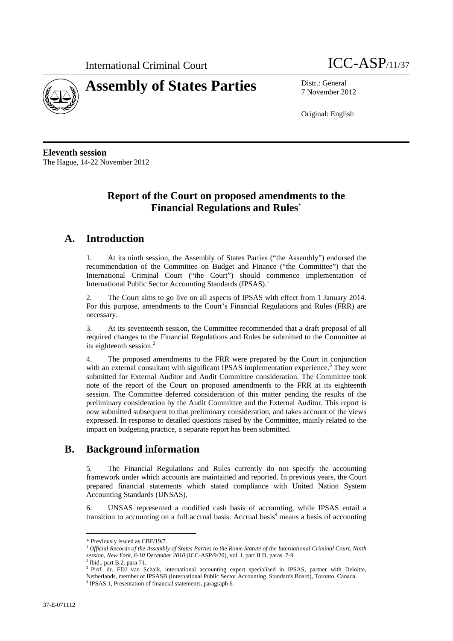



7 November 2012

Original: English

**Eleventh session**  The Hague, 14-22 November 2012

# **Report of the Court on proposed amendments to the Financial Regulations and Rules**\*

# **A. Introduction**

1. At its ninth session, the Assembly of States Parties ("the Assembly") endorsed the recommendation of the Committee on Budget and Finance ("the Committee") that the International Criminal Court ("the Court") should commence implementation of International Public Sector Accounting Standards (IPSAS).<sup>1</sup>

2. The Court aims to go live on all aspects of IPSAS with effect from 1 January 2014. For this purpose, amendments to the Court's Financial Regulations and Rules (FRR) are necessary.

3. At its seventeenth session, the Committee recommended that a draft proposal of all required changes to the Financial Regulations and Rules be submitted to the Committee at its eighteenth session.<sup>2</sup>

4. The proposed amendments to the FRR were prepared by the Court in conjunction with an external consultant with significant IPSAS implementation experience.<sup>3</sup> They were submitted for External Auditor and Audit Committee consideration. The Committee took note of the report of the Court on proposed amendments to the FRR at its eighteenth session. The Committee deferred consideration of this matter pending the results of the preliminary consideration by the Audit Committee and the External Auditor. This report is now submitted subsequent to that preliminary consideration, and takes account of the views expressed. In response to detailed questions raised by the Committee, mainly related to the impact on budgeting practice, a separate report has been submitted.

# **B. Background information**

5. The Financial Regulations and Rules currently do not specify the accounting framework under which accounts are maintained and reported. In previous years, the Court prepared financial statements which stated compliance with United Nation System Accounting Standards (UNSAS).

6. UNSAS represented a modified cash basis of accounting, while IPSAS entail a transition to accounting on a full accrual basis. Accrual basis<sup>4</sup> means a basis of accounting

 $\overline{a}$ 

<sup>\*</sup> Previously issued as CBF/19/7.

<sup>1</sup> *Official Records of the Assembly of States Parties to the Rome Statute of the International Criminal Court, Ninth session, New York, 6-10 December 2010* (ICC-ASP/9/20), vol. I, part II D, paras. 7-9. 2

 $2$  Ibid., part B.2. para 71.

<sup>&</sup>lt;sup>3</sup> Prof. dr. FDJ van Schaik, international accounting expert specialised in IPSAS, partner with Deloitte, Netherlands, member of IPSASB (International Public Sector Accounting Standards Board), Toronto, Canada. 4

<sup>&</sup>lt;sup>4</sup> IPSAS 1, Presentation of financial statements, paragraph 6.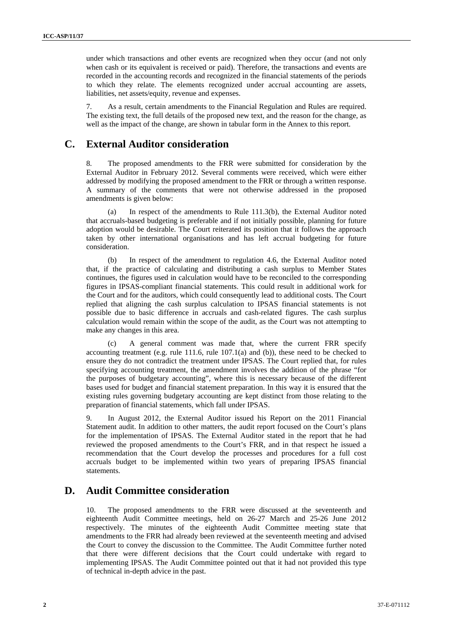under which transactions and other events are recognized when they occur (and not only when cash or its equivalent is received or paid). Therefore, the transactions and events are recorded in the accounting records and recognized in the financial statements of the periods to which they relate. The elements recognized under accrual accounting are assets, liabilities, net assets/equity, revenue and expenses.

7. As a result, certain amendments to the Financial Regulation and Rules are required. The existing text, the full details of the proposed new text, and the reason for the change, as well as the impact of the change, are shown in tabular form in the Annex to this report.

# **C. External Auditor consideration**

8. The proposed amendments to the FRR were submitted for consideration by the External Auditor in February 2012. Several comments were received, which were either addressed by modifying the proposed amendment to the FRR or through a written response. A summary of the comments that were not otherwise addressed in the proposed amendments is given below:

(a) In respect of the amendments to Rule 111.3(b), the External Auditor noted that accruals-based budgeting is preferable and if not initially possible, planning for future adoption would be desirable. The Court reiterated its position that it follows the approach taken by other international organisations and has left accrual budgeting for future consideration.

(b) In respect of the amendment to regulation 4.6, the External Auditor noted that, if the practice of calculating and distributing a cash surplus to Member States continues, the figures used in calculation would have to be reconciled to the corresponding figures in IPSAS-compliant financial statements. This could result in additional work for the Court and for the auditors, which could consequently lead to additional costs. The Court replied that aligning the cash surplus calculation to IPSAS financial statements is not possible due to basic difference in accruals and cash-related figures. The cash surplus calculation would remain within the scope of the audit, as the Court was not attempting to make any changes in this area.

(c) A general comment was made that, where the current FRR specify accounting treatment (e.g. rule  $111.6$ , rule  $107.1(a)$  and (b)), these need to be checked to ensure they do not contradict the treatment under IPSAS. The Court replied that, for rules specifying accounting treatment, the amendment involves the addition of the phrase "for the purposes of budgetary accounting", where this is necessary because of the different bases used for budget and financial statement preparation. In this way it is ensured that the existing rules governing budgetary accounting are kept distinct from those relating to the preparation of financial statements, which fall under IPSAS.

9. In August 2012, the External Auditor issued his Report on the 2011 Financial Statement audit. In addition to other matters, the audit report focused on the Court's plans for the implementation of IPSAS. The External Auditor stated in the report that he had reviewed the proposed amendments to the Court's FRR, and in that respect he issued a recommendation that the Court develop the processes and procedures for a full cost accruals budget to be implemented within two years of preparing IPSAS financial statements.

# **D. Audit Committee consideration**

10. The proposed amendments to the FRR were discussed at the seventeenth and eighteenth Audit Committee meetings, held on 26-27 March and 25-26 June 2012 respectively. The minutes of the eighteenth Audit Committee meeting state that amendments to the FRR had already been reviewed at the seventeenth meeting and advised the Court to convey the discussion to the Committee. The Audit Committee further noted that there were different decisions that the Court could undertake with regard to implementing IPSAS. The Audit Committee pointed out that it had not provided this type of technical in-depth advice in the past.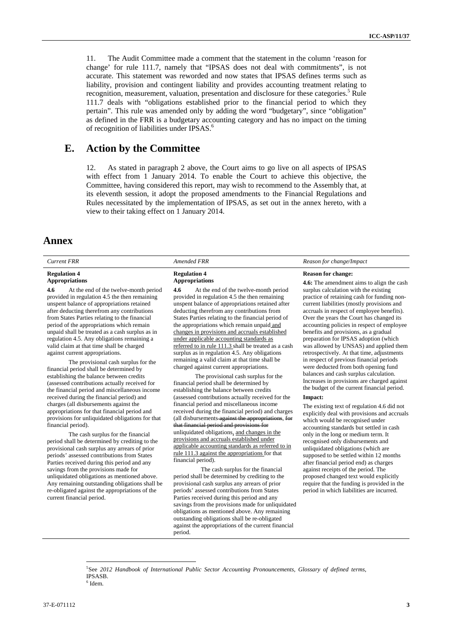11. The Audit Committee made a comment that the statement in the column 'reason for change' for rule 111.7, namely that "IPSAS does not deal with commitments", is not accurate. This statement was reworded and now states that IPSAS defines terms such as liability, provision and contingent liability and provides accounting treatment relating to recognition, measurement, valuation, presentation and disclosure for these categories.<sup>5</sup> Rule 111.7 deals with "obligations established prior to the financial period to which they pertain". This rule was amended only by adding the word "budgetary", since "obligation" as defined in the FRR is a budgetary accounting category and has no impact on the timing of recognition of liabilities under IPSAS.<sup>6</sup>

# **E. Action by the Committee**

12. As stated in paragraph 2 above, the Court aims to go live on all aspects of IPSAS with effect from 1 January 2014. To enable the Court to achieve this objective, the Committee, having considered this report, may wish to recommend to the Assembly that, at its eleventh session, it adopt the proposed amendments to the Financial Regulations and Rules necessitated by the implementation of IPSAS, as set out in the annex hereto, with a view to their taking effect on 1 January 2014.

# **Annex**

#### **Regulation 4 Appropriations**

**4.6** At the end of the twelve-month period provided in regulation 4.5 the then remaining unspent balance of appropriations retained after deducting therefrom any contributions from States Parties relating to the financial period of the appropriations which remain unpaid shall be treated as a cash surplus as in regulation 4.5. Any obligations remaining a valid claim at that time shall be charged

against current appropriations. The provisional cash surplus for the financial period shall be determined by establishing the balance between credits (assessed contributions actually received for the financial period and miscellaneous income received during the financial period) and charges (all disbursements against the appropriations for that financial period and provisions for unliquidated obligations for that financial period).

 The cash surplus for the financial period shall be determined by crediting to the provisional cash surplus any arrears of prior periods' assessed contributions from States Parties received during this period and any savings from the provisions made for unliquidated obligations as mentioned above. Any remaining outstanding obligations shall be re-obligated against the appropriations of the current financial period.

 $\overline{a}$ 

# **Regulation 4 Appropriations**

**4.6** At the end of the twelve-month period provided in regulation 4.5 the then remaining unspent balance of appropriations retained after deducting therefrom any contributions from States Parties relating to the financial period of the appropriations which remain unpaid and changes in provisions and accruals established under applicable accounting standards as referred to in rule 111.3 shall be treated as a cash surplus as in regulation 4.5. Any obligations remaining a valid claim at that time shall be charged against current appropriations.

 The provisional cash surplus for the financial period shall be determined by establishing the balance between credits (assessed contributions actually received for the financial period and miscellaneous income received during the financial period) and charges (all disbursements against the appropriat that financial period and provisions for unliquidated obligations, and changes in the provisions and accruals established under applicable accounting standards as referred to in rule 111.3 against the appropriations for that financial period).

The cash surplus for the financial period shall be determined by crediting to the provisional cash surplus any arrears of prior periods' assessed contributions from States Parties received during this period and any savings from the provisions made for unliquidated obligations as mentioned above. Any remaining outstanding obligations shall be re-obligated against the appropriations of the current financial period.

## *Current FRR Amended FRR Reason for change/Impact*

#### **Reason for change:**

**4.6:** The amendment aims to align the cash surplus calculation with the existing practice of retaining cash for funding noncurrent liabilities (mostly provisions and accruals in respect of employee benefits). Over the years the Court has changed its accounting policies in respect of employee benefits and provisions, as a gradual preparation for IPSAS adoption (which was allowed by UNSAS) and applied them retrospectively. At that time, adjustments in respect of previous financial periods were deducted from both opening fund balances and cash surplus calculation. Increases in provisions are charged against the budget of the current financial period.

## **Impact:**

The existing text of regulation 4.6 did not explicitly deal with provisions and accruals which would be recognised under accounting standards but settled in cash only in the long or medium term. It recognised only disbursements and unliquidated obligations (which are supposed to be settled within 12 months after financial period end) as charges against receipts of the period. The proposed changed text would explicitly require that the funding is provided in the period in which liabilities are incurred.

5 See *2012 Handbook of International Public Sector Accounting Pronouncements, Glossary of defined terms*, IPSASB.  $6$  Idem.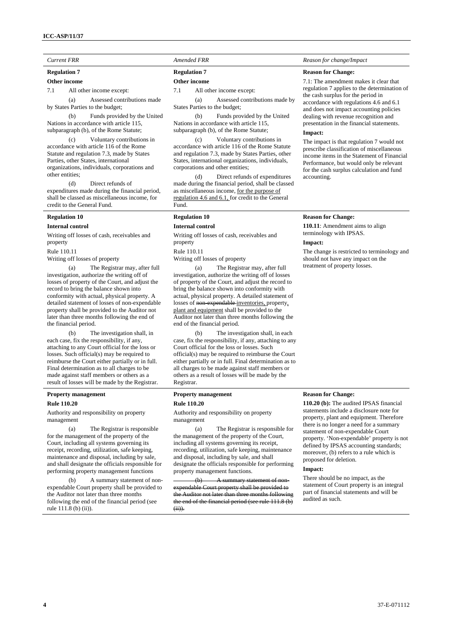#### **Regulation 7**

**Other income** 

7.1 All other income except:

 (a) Assessed contributions made by States Parties to the budget;

 (b) Funds provided by the United Nations in accordance with article 115, subparagraph (b), of the Rome Statute;

 (c) Voluntary contributions in accordance with article 116 of the Rome Statute and regulation 7.3, made by States Parties, other States, international organizations, individuals, corporations and other entities;

 (d) Direct refunds of expenditures made during the financial period, shall be classed as miscellaneous income, for credit to the General Fund.

# **Regulation 10**

#### **Internal control**

Writing off losses of cash, receivables and property

Rule 110.11

Writing off losses of property

 (a) The Registrar may, after full investigation, authorize the writing off of losses of property of the Court, and adjust the record to bring the balance shown into conformity with actual, physical property. A detailed statement of losses of non-expendable property shall be provided to the Auditor not later than three months following the end of the financial period.

 (b) The investigation shall, in each case, fix the responsibility, if any, attaching to any Court official for the loss or losses. Such official(s) may be required to reimburse the Court either partially or in full. Final determination as to all charges to be made against staff members or others as a result of losses will be made by the Registrar.

# **Property management**

**Rule 110.20** 

Authority and responsibility on property management

 (a) The Registrar is responsible for the management of the property of the Court, including all systems governing its receipt, recording, utilization, safe keeping, maintenance and disposal, including by sale, and shall designate the officials responsible for performing property management functions

 (b) A summary statement of nonexpendable Court property shall be provided to the Auditor not later than three months following the end of the financial period (see rule  $111.8$  (b) (ii)).

# **Regulation 7**

#### **Other income**

7.1 All other income except:

 (a) Assessed contributions made by States Parties to the budget;

 (b) Funds provided by the United Nations in accordance with article 115, subparagraph (b), of the Rome Statute;

 (c) Voluntary contributions in accordance with article 116 of the Rome Statute and regulation 7.3, made by States Parties, other States, international organizations, individuals, corporations and other entities;

 (d) Direct refunds of expenditures made during the financial period, shall be classed as miscellaneous income, for the purpose of regulation 4.6 and 6.1, for credit to the General Fund.

# **Regulation 10**

### **Internal control**

Writing off losses of cash, receivables and property

Rule 110.11

Writing off losses of property

 (a) The Registrar may, after full investigation, authorize the writing off of losses of property of the Court, and adjust the record to bring the balance shown into conformity with actual, physical property. A detailed statement of losses of non-expendable inventories, property, plant and equipment shall be provided to the Auditor not later than three months following the end of the financial period.

 (b) The investigation shall, in each case, fix the responsibility, if any, attaching to any Court official for the loss or losses. Such official(s) may be required to reimburse the Court either partially or in full. Final determination as to all charges to be made against staff members or others as a result of losses will be made by the Registrar.

# **Property management Rule 110.20**

Authority and responsibility on property management

 (a) The Registrar is responsible for the management of the property of the Court, including all systems governing its receipt, recording, utilization, safe keeping, maintenance and disposal, including by sale, and shall designate the officials responsible for performing property management functions.

(b) A summary statement of nonexpendable Court property shall be provided to the Auditor not later than three months following the end of the financial period (see rule 111.8 (b) (ii)).

# *Current FRR Current FRR Amended FRR Reason for change/Impact*

### **Reason for Change:**

7.1: The amendment makes it clear that regulation 7 applies to the determination of the cash surplus for the period in accordance with regulations 4.6 and 6.1 and does not impact accounting policies dealing with revenue recognition and presentation in the financial statements.

# **Impact:**

The impact is that regulation 7 would not prescribe classification of miscellaneous income items in the Statement of Financial Performance, but would only be relevant for the cash surplus calculation and fund accounting.

#### **Reason for Change:**

**110.11**: Amendment aims to align terminology with IPSAS.

#### **Impact:**

The change is restricted to terminology and should not have any impact on the treatment of property losses.

# **Reason for Change:**

**110.20 (b):** The audited IPSAS financial statements include a disclosure note for property, plant and equipment. Therefore there is no longer a need for a summary statement of non-expendable Court property. 'Non-expendable' property is not defined by IPSAS accounting standards; moreover, (b) refers to a rule which is proposed for deletion.

### **Impact:**

There should be no impact, as the statement of Court property is an integral part of financial statements and will be audited as such.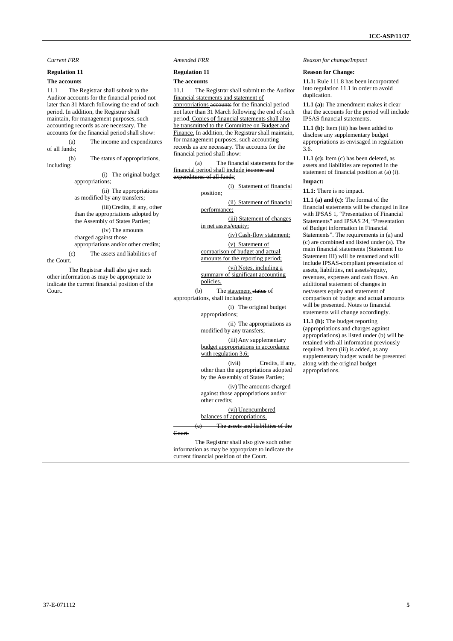# **Regulation 11**

### **The accounts**

11.1 The Registrar shall submit to the Auditor accounts for the financial period not later than 31 March following the end of such period. In addition, the Registrar shall maintain, for management purposes, such accounting records as are necessary. The accounts for the financial period shall show:

 (a) The income and expenditures of all funds;

 (b) The status of appropriations, including:

> (i) The original budget appropriations;

(ii) The appropriations as modified by any transfers;

(iii) Credits, if any, other than the appropriations adopted by the Assembly of States Parties;

(iv) The amounts charged against those appropriations and/or other credits;

(c) The assets and liabilities of

the Court.

 The Registrar shall also give such other information as may be appropriate to indicate the current financial position of the Court.

#### **Regulation 11**

#### **The accounts**

11.1 The Registrar shall submit to the Auditor financial statements and statement of

appropriations accounts for the financial period not later than 31 March following the end of such period. Copies of financial statements shall also be transmitted to the Committee on Budget and Finance. In addition, the Registrar shall maintain, for management purposes, such accounting records as are necessary. The accounts for the financial period shall show:

 (a) The financial statements for the financial period shall include ine expenditures of all funds;

> (i) Statement of financial position;

(ii) Statement of financial

performance; (iii) Statement of changes

in net assets/equity;

(iv) Cash-flow statement; (v) Statement of

comparison of budget and actual amounts for the reporting period;

(vi) Notes, including a summary of significant accounting policies.

(b) The statement status of

appropriations, shall includeing:

(i) The original budget appropriations;

(ii) The appropriations as modified by any transfers;

(iii) Any supplementary budget appropriations in accordance with regulation 3.6;

 $(ivii)$  Credits, if any, other than the appropriations adopted by the Assembly of States Parties;

(iv) The amounts charged against those appropriations and/or other credits;

(vi) Unencumbered balances of appropriations.

The assets and liabilities of the Court.

 The Registrar shall also give such other information as may be appropriate to indicate the current financial position of the Court.

### *Current FRR Amended FRR Amended FRR Reason for change/Impact Reason for change/Impact*

### **Reason for Change:**

**11.1:** Rule 111.8 has been incorporated into regulation 11.1 in order to avoid duplication.

**11.1 (a):** The amendment makes it clear that the accounts for the period will include IPSAS financial statements.

11.1 (b): Item (iii) has been added to disclose any supplementary budget appropriations as envisaged in regulation 3.6.

**11.1 (c):** Item (c) has been deleted, as assets and liabilities are reported in the statement of financial position at (a) (i).

## **Impact:**

**11.1:** There is no impact.

**11.1 (a) and (c):** The format of the financial statements will be changed in line with IPSAS 1, "Presentation of Financial Statements" and IPSAS 24, "Presentation of Budget information in Financial Statements". The requirements in (a) and (c) are combined and listed under (a). The main financial statements (Statement I to Statement III) will be renamed and will include IPSAS-compliant presentation of assets, liabilities, net assets/equity, revenues, expenses and cash flows. An additional statement of changes in net/assets equity and statement of comparison of budget and actual amounts will be presented. Notes to financial statements will change accordingly.

**11.1 (b):** The budget reporting (appropriations and charges against appropriations) as listed under (b) will be retained with all information previously required. Item (iii) is added, as any supplementary budget would be presented along with the original budget appropriations.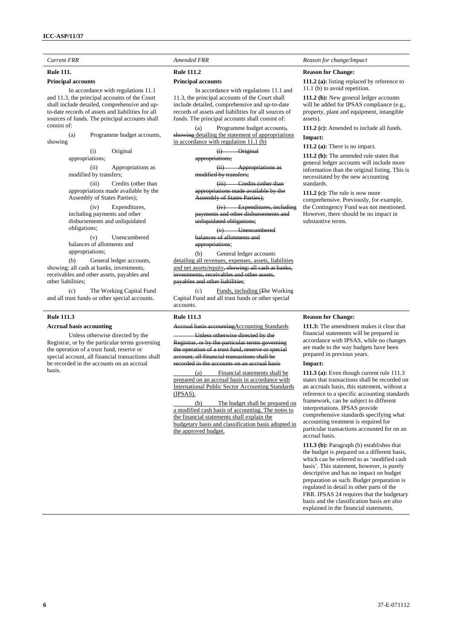# **Rule 111.**

## **Principal accounts**

 In accordance with regulations 11.1 and 11.3, the principal accounts of the Court shall include detailed, comprehensive and upto-date records of assets and liabilities for all sources of funds. The principal accounts shall consist of:

 (a) Programme budget accounts, showing

> (i) Original appropriations;

(ii) Appropriations as modified by transfers;

(iii) Credits (other than appropriations made available by the Assembly of States Parties);

(iv) Expenditures, including payments and other disbursements and unliquidated obligations;

(v) Unencumbered balances of allotments and appropriations;

 (b) General ledger accounts, showing: all cash at banks, investments, receivables and other assets, payables and other liabilities;

 (c) The Working Capital Fund and all trust funds or other special accounts.

# **Rule 111.3**

### **Accrual basis accounting**

 Unless otherwise directed by the Registrar, or by the particular terms governing the operation of a trust fund, reserve or special account, all financial transactions shall be recorded in the accounts on an accrual basis.

# **Rule 111.2**

#### **Principal accounts**

 In accordance with regulations 11.1 and 11.3, the principal accounts of the Court shall include detailed, comprehensive and up-to-date records of assets and liabilities for all sources of funds. The principal accounts shall consist of:

 (a) Programme budget accounts, showing detailing the statement of appropriations in accordance with regulation 11.1 (b)

> (i) Original iations:

(ii) Appropriations **l** by transfers;

(iii) Credits (other than appropriations made available by the nhly of States Parties);

(iv) Expenditures, including payments and other disbursements and

**unliquidated obligations;** (v) Unencumbered

balances of allotments and appropriations;

 (b) General ledger accounts detailing all revenues, expenses, assets, liabilities and net assets/equity, showing: all cash at banks, **<u>reivables and other assets.</u>** payables and other liabilities;

 (c) Funds, including tThe Working Capital Fund and all trust funds or other special accounts.

## **Rule 111.3**

tingAccounting Standards

Unless otherwise directed by the Registrar, or by the particular terms governing operation of a trust fund, reserve or special all financial transactions shall be  $\frac{1}{\sqrt{2}}$  orded in the accounts on an accrual basis

 (a) Financial statements shall be prepared on an accrual basis in accordance with International Public Sector Accounting Standards (IPSAS).

 (b) The budget shall be prepared on a modified cash basis of accounting. The notes to the financial statements shall explain the budgetary basis and classification basis adopted in the approved budget.

## *Current FRR Current FRR Amended FRR Reason for change/Impact*

### **Reason for Change:**

**111.2 (a):** listing replaced by reference to 11.1 (b) to avoid repetition.

**111.2 (b):** New general ledger accounts will be added for IPSAS compliance (e.g., property, plant and equipment, intangible assets).

**111.2 (c):** Amended to include all funds. **Impact:** 

**111.2 (a):** There is no impact.

**111.2 (b):** The amended rule states that general ledger accounts will include more information than the original listing. This is necessitated by the new accounting standards.

**111.2 (c):** The rule is now more comprehensive. Previously, for example, the Contingency Fund was not mentioned. However, there should be no impact in substantive terms.

#### **Reason for Change:**

**111.3:** The amendment makes it clear that financial statements will be prepared in accordance with IPSAS, while no changes are made to the way budgets have been prepared in previous years.

# **Impact:**

**111.3 (a):** Even though current rule 111.3 states that transactions shall be recorded on an accruals basis, this statement, without a reference to a specific accounting standards framework, can be subject to different interpretations. IPSAS provide comprehensive standards specifying what accounting treatment is required for particular transactions accounted for on an accrual basis.

**111.3 (b):** Paragraph (b) establishes that the budget is prepared on a different basis, which can be referred to as 'modified cash basis'. This statement, however, is purely descriptive and has no impact on budget preparation as such. Budget preparation is regulated in detail in other parts of the FRR. IPSAS 24 requires that the budgetary basis and the classification basis are also explained in the financial statements.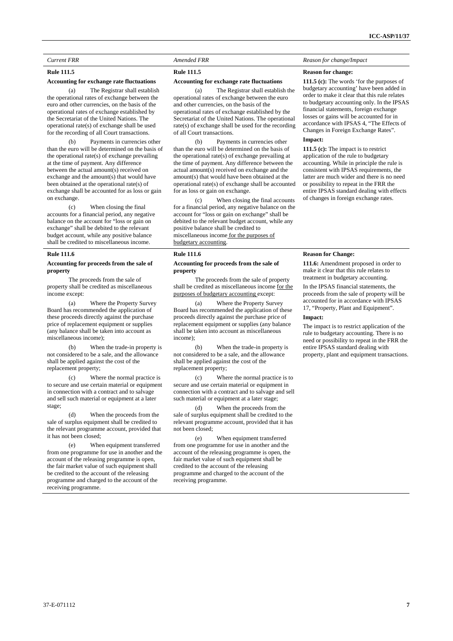# **Rule 111.5**

# **Accounting for exchange rate fluctuations**

 (a) The Registrar shall establish the operational rates of exchange between the euro and other currencies, on the basis of the operational rates of exchange established by the Secretariat of the United Nations. The operational rate(s) of exchange shall be used for the recording of all Court transactions.

 (b) Payments in currencies other than the euro will be determined on the basis of the operational rate(s) of exchange prevailing at the time of payment. Any difference between the actual amount(s) received on exchange and the amount(s) that would have been obtained at the operational rate(s) of exchange shall be accounted for as loss or gain on exchange.

 (c) When closing the final accounts for a financial period, any negative balance on the account for "loss or gain on exchange" shall be debited to the relevant budget account, while any positive balance shall be credited to miscellaneous income.

### **Rule 111.6**

## **Accounting for proceeds from the sale of property**

 The proceeds from the sale of property shall be credited as miscellaneous income except:

 (a) Where the Property Survey Board has recommended the application of these proceeds directly against the purchase price of replacement equipment or supplies (any balance shall be taken into account as miscellaneous income);

 (b) When the trade-in property is not considered to be a sale, and the allowance shall be applied against the cost of the replacement property;

 (c) Where the normal practice is to secure and use certain material or equipment in connection with a contract and to salvage and sell such material or equipment at a later stage;

 (d) When the proceeds from the sale of surplus equipment shall be credited to the relevant programme account, provided that it has not been closed;

 (e) When equipment transferred from one programme for use in another and the account of the releasing programme is open, the fair market value of such equipment shall be credited to the account of the releasing programme and charged to the account of the receiving programme.

# **Rule 111.5**

#### **Accounting for exchange rate fluctuations**

 (a) The Registrar shall establish the operational rates of exchange between the euro and other currencies, on the basis of the operational rates of exchange established by the Secretariat of the United Nations. The operational rate(s) of exchange shall be used for the recording of all Court transactions.

 (b) Payments in currencies other than the euro will be determined on the basis of the operational rate(s) of exchange prevailing at the time of payment. Any difference between the actual amount(s) received on exchange and the amount(s) that would have been obtained at the operational rate(s) of exchange shall be accounted for as loss or gain on exchange.

 (c) When closing the final accounts for a financial period, any negative balance on the account for "loss or gain on exchange" shall be debited to the relevant budget account, while any positive balance shall be credited to miscellaneous income for the purposes of budgetary accounting.

# **Rule 111.6**

### **Accounting for proceeds from the sale of property**

 The proceeds from the sale of property shall be credited as miscellaneous income for the purposes of budgetary accounting except:

 (a) Where the Property Survey Board has recommended the application of these proceeds directly against the purchase price of replacement equipment or supplies (any balance shall be taken into account as miscellaneous income);

 (b) When the trade-in property is not considered to be a sale, and the allowance shall be applied against the cost of the replacement property;

 (c) Where the normal practice is to secure and use certain material or equipment in connection with a contract and to salvage and sell such material or equipment at a later stage;

 (d) When the proceeds from the sale of surplus equipment shall be credited to the relevant programme account, provided that it has not been closed;

 (e) When equipment transferred from one programme for use in another and the account of the releasing programme is open, the fair market value of such equipment shall be credited to the account of the releasing programme and charged to the account of the receiving programme.

#### *Current FRR Current FRR Amended FRR Reason for change/Impact <b><i>Reason for change/Impact Reason for change/Impact*

#### **Reason for change:**

**111.5 (c):** The words 'for the purposes of budgetary accounting' have been added in order to make it clear that this rule relates to budgetary accounting only. In the IPSAS financial statements, foreign exchange losses or gains will be accounted for in accordance with IPSAS 4, "The Effects of Changes in Foreign Exchange Rates".

# **Impact:**

**111.5 (c):** The impact is to restrict application of the rule to budgetary accounting. While in principle the rule is consistent with IPSAS requirements, the latter are much wider and there is no need or possibility to repeat in the FRR the entire IPSAS standard dealing with effects of changes in foreign exchange rates.

#### **Reason for Change:**

**111.6:** Amendment proposed in order to make it clear that this rule relates to treatment in budgetary accounting.

In the IPSAS financial statements, the proceeds from the sale of property will be accounted for in accordance with IPSAS 17, "Property, Plant and Equipment".

### **Impact:**

The impact is to restrict application of the rule to budgetary accounting. There is no need or possibility to repeat in the FRR the entire IPSAS standard dealing with property, plant and equipment transactions.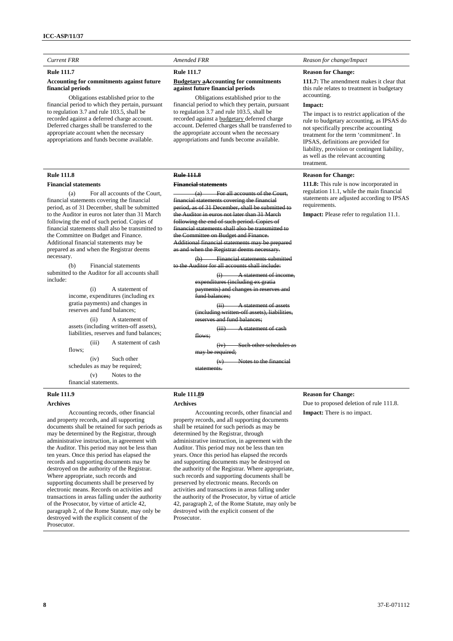# **Rule 111.7**

# **Accounting for commitments against future financial periods**

 Obligations established prior to the financial period to which they pertain, pursuant to regulation 3.7 and rule 103.5, shall be recorded against a deferred charge account. Deferred charges shall be transferred to the appropriate account when the necessary appropriations and funds become available.

# **Rule 111.8**

#### **Financial statements**

 (a) For all accounts of the Court, financial statements covering the financial period, as of 31 December, shall be submitted to the Auditor in euros not later than 31 March following the end of such period. Copies of financial statements shall also be transmitted to the Committee on Budget and Finance. Additional financial statements may be prepared as and when the Registrar deems necessary.

 (b) Financial statements submitted to the Auditor for all accounts shall include:

> (i) A statement of income, expenditures (including ex gratia payments) and changes in reserves and fund balances;

(ii) A statement of assets (including written-off assets), liabilities, reserves and fund balances; (iii) A statement of cash

flows:

(iv) Such other schedules as may be required; (v) Notes to the financial statements.

# **Rule 111.9 Archives**

 Accounting records, other financial and property records, and all supporting documents shall be retained for such periods as may be determined by the Registrar, through administrative instruction, in agreement with the Auditor. This period may not be less than ten years. Once this period has elapsed the records and supporting documents may be destroyed on the authority of the Registrar. Where appropriate, such records and supporting documents shall be preserved by electronic means. Records on activities and transactions in areas falling under the authority of the Prosecutor, by virtue of article 42, paragraph 2, of the Rome Statute, may only be destroyed with the explicit consent of the Prosecutor.

# **Rule 111.7**

# **Budgetary aAccounting for commitments against future financial periods**

 Obligations established prior to the financial period to which they pertain, pursuant to regulation 3.7 and rule 103.5, shall be recorded against a budgetary deferred charge account. Deferred charges shall be transferred to the appropriate account when the necessary appropriations and funds become available.

# **Rule 111.8**

### **Financial statements**

For all accounts of the C financial statements covering the financial period, as of 31 December, shall be submitted .<br>Auditor in euros not later than 31 March following the end of such period. Copies of financial statements shall also be transmitted to the Committee on Budget and Finance. Additional financial statements may be prepared nd when the Registrar deems

 $(b)$  Financial statements  $v_{\text{ditor}}$  for all accounts shall in for all accounts shall include:

> (i) A statement of income, expenditures (including ex gratia payments) and changes in reserve fund balances;

 $(ii)$  A statement of as ding written-off assets), liabilities eserves and fund balances:

 $(iii)$  A statement of flows;

 $(iv)$  Such other schedules may be required;

(v) Notes to the financial statements.

# *Current FRR Current FRR Amended FRR Reason for change/Impact*

### **Reason for Change:**

**111.7:** The amendment makes it clear that this rule relates to treatment in budgetary accounting.

#### **Impact:**

The impact is to restrict application of the rule to budgetary accounting, as IPSAS do not specifically prescribe accounting treatment for the term 'commitment'. In IPSAS, definitions are provided for liability, provision or contingent liability, as well as the relevant accounting treatment.

# **Reason for Change:**

**111.8:** This rule is now incorporated in regulation 11.1, while the main financial statements are adjusted according to IPSAS requirements.

**Impact:** Please refer to regulation 11.1.

# **Rule 111.89 Archives**

 Accounting records, other financial and property records, and all supporting documents shall be retained for such periods as may be determined by the Registrar, through administrative instruction, in agreement with the Auditor. This period may not be less than ten years. Once this period has elapsed the records and supporting documents may be destroyed on the authority of the Registrar. Where appropriate, such records and supporting documents shall be preserved by electronic means. Records on activities and transactions in areas falling under the authority of the Prosecutor, by virtue of article 42, paragraph 2, of the Rome Statute, may only be destroyed with the explicit consent of the Prosecutor.

# **Reason for Change:**

Due to proposed deletion of rule 111.8. **Impact:** There is no impact.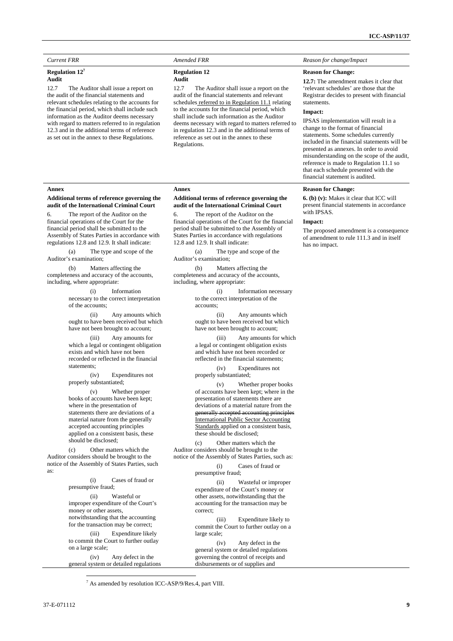#### **Regulation 12<sup>7</sup> Audit**

**Annex** 

Auditor's examination;

including, where appropriate:

statements;

properly substantiated;

should be disclosed;

presumptive fraud;

money or other assets,

on a large scale;

 $\overline{a}$ 

 (c) Other matters which the Auditor considers should be brought to the notice of the Assembly of States Parties, such

of the accounts;

12.7 The Auditor shall issue a report on the audit of the financial statements and relevant schedules relating to the accounts for the financial period, which shall include such information as the Auditor deems necessary with regard to matters referred to in regulation 12.3 and in the additional terms of reference as set out in the annex to these Regulations.

**Additional terms of reference governing the audit of the International Criminal Court**  6. The report of the Auditor on the financial operations of the Court for the financial period shall be submitted to the Assembly of States Parties in accordance with regulations 12.8 and 12.9. It shall indicate: (a) The type and scope of the

 (b) Matters affecting the completeness and accuracy of the accounts,

> (i) Information necessary to the correct interpretation

(ii) Any amounts which ought to have been received but which have not been brought to account; (iii) Any amounts for which a legal or contingent obligation exists and which have not been recorded or reflected in the financial

(iv) Expenditures not

(v) Whether proper books of accounts have been kept; where in the presentation of statements there are deviations of a material nature from the generally accepted accounting principles applied on a consistent basis, these

(i) Cases of fraud or

(iii) Expenditure likely to commit the Court to further outlay

(iv) Any defect in the general system or detailed regulations

(ii) Wasteful or improper expenditure of the Court's

notwithstanding that the accounting for the transaction may be correct;

#### *Current FRR Amended FRR Amended FRR Reason for change/Impact Reason for change/Impact*

#### **Regulation 12**

# **Audit**

12.7 The Auditor shall issue a report on the audit of the financial statements and relevant schedules referred to in Regulation 11.1 relating to the accounts for the financial period, which shall include such information as the Auditor deems necessary with regard to matters referred to in regulation 12.3 and in the additional terms of reference as set out in the annex to these Regulations.

## **Annex**

#### **Additional terms of reference governing the audit of the International Criminal Court**

6. The report of the Auditor on the financial operations of the Court for the financial period shall be submitted to the Assembly of States Parties in accordance with regulations 12.8 and 12.9. It shall indicate:

 (a) The type and scope of the Auditor's examination;

 (b) Matters affecting the completeness and accuracy of the accounts, including, where appropriate:

> (i) Information necessary to the correct interpretation of the accounts;

> (ii) Any amounts which ought to have been received but which have not been brought to account;

(iii) Any amounts for which a legal or contingent obligation exists and which have not been recorded or reflected in the financial statements;

(iv) Expenditures not properly substantiated;

(v) Whether proper books of accounts have been kept; where in the presentation of statements there are deviations of a material nature from the generally accepted accounting principles International Public Sector Accounting

 (c) Other matters which the Auditor considers should be brought to the notice of the Assembly of States Parties, such as:

> (i) Cases of fraud or presumptive fraud;

(ii) Wasteful or improper expenditure of the Court's money or other assets, notwithstanding that the accounting for the transaction may be correct;

(iii) Expenditure likely to commit the Court to further outlay on a large scale;

(iv) Any defect in the general system or detailed regulations governing the control of receipts and disbursements or of supplies and

Standards applied on a consistent basis, these should be disclosed;

**Impact:** 

IPSAS implementation will result in a change to the format of financial statements. Some schedules currently included in the financial statements will be presented as annexes. In order to avoid misunderstanding on the scope of the audit, reference is made to Regulation 11.1 so that each schedule presented with the financial statement is audited.

**12.7:** The amendment makes it clear that 'relevant schedules' are those that the Registrar decides to present with financial

#### **Reason for Change:**

**Reason for Change:** 

statements.

**6. (b) (v):** Makes it clear that ICC will present financial statements in accordance with IPSAS.

#### **Impact:**

The proposed amendment is a consequence of amendment to rule 111.3 and in itself has no impact.

<sup>7</sup> As amended by resolution ICC-ASP/9/Res.4, part VIII.

as: